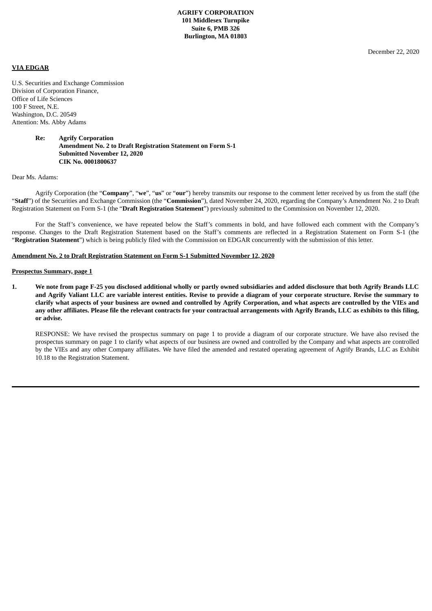December 22, 2020

#### **VIA EDGAR**

U.S. Securities and Exchange Commission Division of Corporation Finance, Office of Life Sciences 100 F Street, N.E. Washington, D.C. 20549 Attention: Ms. Abby Adams

### **Re: Agrify Corporation Amendment No. 2 to Draft Registration Statement on Form S-1 Submitted November 12, 2020 CIK No. 0001800637**

#### Dear Ms. Adams:

Agrify Corporation (the "**Company**", "**we**", "**us**" or "**our**") hereby transmits our response to the comment letter received by us from the staff (the "**Staff**") of the Securities and Exchange Commission (the "**Commission**"), dated November 24, 2020, regarding the Company's Amendment No. 2 to Draft Registration Statement on Form S-1 (the "**Draft Registration Statement**") previously submitted to the Commission on November 12, 2020.

For the Staff's convenience, we have repeated below the Staff's comments in bold, and have followed each comment with the Company's response. Changes to the Draft Registration Statement based on the Staff's comments are reflected in a Registration Statement on Form S-1 (the "**Registration Statement**") which is being publicly filed with the Commission on EDGAR concurrently with the submission of this letter.

#### **Amendment No. 2 to Draft Registration Statement on Form S-1 Submitted November 12, 2020**

#### **Prospectus Summary, page 1**

1. We note from page F-25 you disclosed additional wholly or partly owned subsidiaries and added disclosure that both Agrify Brands LLC and Agrify Valiant LLC are variable interest entities. Revise to provide a diagram of your corporate structure. Revise the summary to clarify what aspects of your business are owned and controlled by Agrify Corporation, and what aspects are controlled by the VIEs and any other affiliates. Please file the relevant contracts for your contractual arrangements with Agrify Brands, LLC as exhibits to this filing, **or advise.**

RESPONSE: We have revised the prospectus summary on page 1 to provide a diagram of our corporate structure. We have also revised the prospectus summary on page 1 to clarify what aspects of our business are owned and controlled by the Company and what aspects are controlled by the VIEs and any other Company affiliates. We have filed the amended and restated operating agreement of Agrify Brands, LLC as Exhibit 10.18 to the Registration Statement.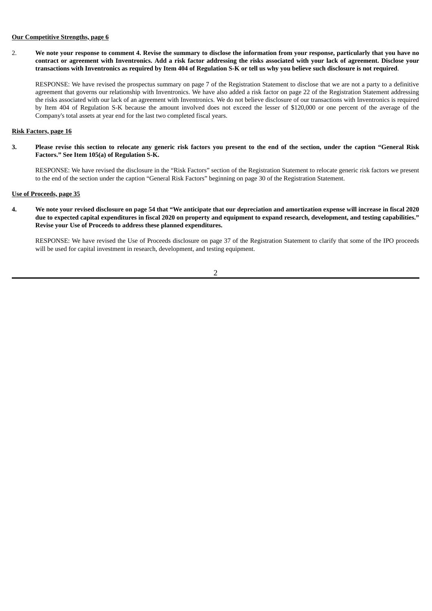## **Our Competitive Strengths, page 6**

2. We note your response to comment 4. Revise the summary to disclose the information from your response, particularly that you have no contract or agreement with Inventronics. Add a risk factor addressing the risks associated with your lack of agreement. Disclose your transactions with Inventronics as required by Item 404 of Regulation S-K or tell us why you believe such disclosure is not required.

RESPONSE: We have revised the prospectus summary on page 7 of the Registration Statement to disclose that we are not a party to a definitive agreement that governs our relationship with Inventronics. We have also added a risk factor on page 22 of the Registration Statement addressing the risks associated with our lack of an agreement with Inventronics. We do not believe disclosure of our transactions with Inventronics is required by Item 404 of Regulation S-K because the amount involved does not exceed the lesser of \$120,000 or one percent of the average of the Company's total assets at year end for the last two completed fiscal years.

#### **Risk Factors, page 16**

3. Please revise this section to relocate any generic risk factors you present to the end of the section, under the caption "General Risk **Factors." See Item 105(a) of Regulation S-K.**

RESPONSE: We have revised the disclosure in the "Risk Factors" section of the Registration Statement to relocate generic risk factors we present to the end of the section under the caption "General Risk Factors" beginning on page 30 of the Registration Statement.

# **Use of Proceeds, page 35**

4. We note your revised disclosure on page 54 that "We anticipate that our depreciation and amortization expense will increase in fiscal 2020 due to expected capital expenditures in fiscal 2020 on property and equipment to expand research, development, and testing capabilities." **Revise your Use of Proceeds to address these planned expenditures.**

RESPONSE: We have revised the Use of Proceeds disclosure on page 37 of the Registration Statement to clarify that some of the IPO proceeds will be used for capital investment in research, development, and testing equipment.

## 2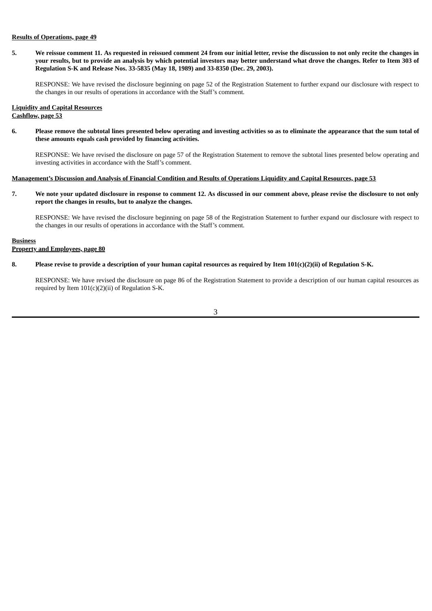# **Results of Operations, page 49**

5. We reissue comment 11. As requested in reissued comment 24 from our initial letter, revise the discussion to not only recite the changes in your results, but to provide an analysis by which potential investors may better understand what drove the changes. Refer to Item 303 of **Regulation S-K and Release Nos. 33-5835 (May 18, 1989) and 33-8350 (Dec. 29, 2003).**

RESPONSE: We have revised the disclosure beginning on page 52 of the Registration Statement to further expand our disclosure with respect to the changes in our results of operations in accordance with the Staff's comment.

## **Liquidity and Capital Resources Cashflow, page 53**

6. Please remove the subtotal lines presented below operating and investing activities so as to eliminate the appearance that the sum total of **these amounts equals cash provided by financing activities.**

RESPONSE: We have revised the disclosure on page 57 of the Registration Statement to remove the subtotal lines presented below operating and investing activities in accordance with the Staff's comment.

### Management's Discussion and Analysis of Financial Condition and Results of Operations Liquidity and Capital Resources, page 53

7. We note your updated disclosure in response to comment 12. As discussed in our comment above, please revise the disclosure to not only **report the changes in results, but to analyze the changes.**

RESPONSE: We have revised the disclosure beginning on page 58 of the Registration Statement to further expand our disclosure with respect to the changes in our results of operations in accordance with the Staff's comment.

**Business Property and Employees, page 80**

## 8. Please revise to provide a description of your human capital resources as required by Item 101(c)(2)(ii) of Regulation S-K.

RESPONSE: We have revised the disclosure on page 86 of the Registration Statement to provide a description of our human capital resources as required by Item  $101(c)(2)$ (ii) of Regulation S-K.

3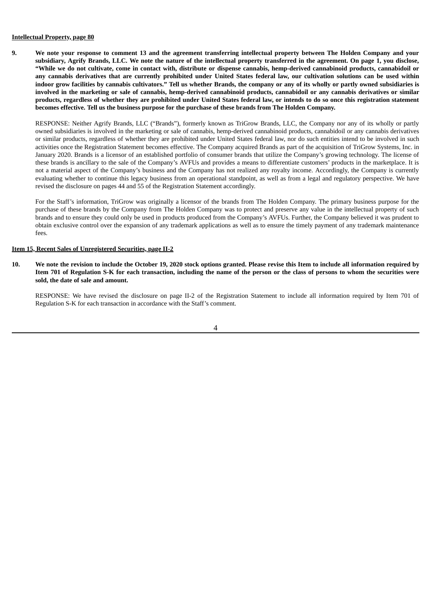# **Intellectual Property, page 80**

9. We note your response to comment 13 and the agreement transferring intellectual property between The Holden Company and your subsidiary, Agrify Brands, LLC. We note the nature of the intellectual property transferred in the agreement. On page 1, you disclose, "While we do not cultivate, come in contact with, distribute or dispense cannabis, hemp-derived cannabinoid products, cannabidoil or any cannabis derivatives that are currently prohibited under United States federal law, our cultivation solutions can be used within indoor grow facilities by cannabis cultivators." Tell us whether Brands, the company or any of its wholly or partly owned subsidiaries is involved in the marketing or sale of cannabis, hemp-derived cannabinoid products, cannabidoil or any cannabis derivatives or similar products, regardless of whether they are prohibited under United States federal law, or intends to do so once this registration statement **becomes effective. Tell us the business purpose for the purchase of these brands from The Holden Company.**

RESPONSE: Neither Agrify Brands, LLC ("Brands"), formerly known as TriGrow Brands, LLC, the Company nor any of its wholly or partly owned subsidiaries is involved in the marketing or sale of cannabis, hemp-derived cannabinoid products, cannabidoil or any cannabis derivatives or similar products, regardless of whether they are prohibited under United States federal law, nor do such entities intend to be involved in such activities once the Registration Statement becomes effective. The Company acquired Brands as part of the acquisition of TriGrow Systems, Inc. in January 2020. Brands is a licensor of an established portfolio of consumer brands that utilize the Company's growing technology. The license of these brands is ancillary to the sale of the Company's AVFUs and provides a means to differentiate customers' products in the marketplace. It is not a material aspect of the Company's business and the Company has not realized any royalty income. Accordingly, the Company is currently evaluating whether to continue this legacy business from an operational standpoint, as well as from a legal and regulatory perspective. We have revised the disclosure on pages 44 and 55 of the Registration Statement accordingly.

For the Staff's information, TriGrow was originally a licensor of the brands from The Holden Company. The primary business purpose for the purchase of these brands by the Company from The Holden Company was to protect and preserve any value in the intellectual property of such brands and to ensure they could only be used in products produced from the Company's AVFUs. Further, the Company believed it was prudent to obtain exclusive control over the expansion of any trademark applications as well as to ensure the timely payment of any trademark maintenance fees.

## **Item 15, Recent Sales of Unregistered Securities, page II-2**

10. We note the revision to include the October 19, 2020 stock options granted. Please revise this Item to include all information required by Item 701 of Regulation S-K for each transaction, including the name of the person or the class of persons to whom the securities were **sold, the date of sale and amount.**

RESPONSE: We have revised the disclosure on page II-2 of the Registration Statement to include all information required by Item 701 of Regulation S-K for each transaction in accordance with the Staff's comment.

4